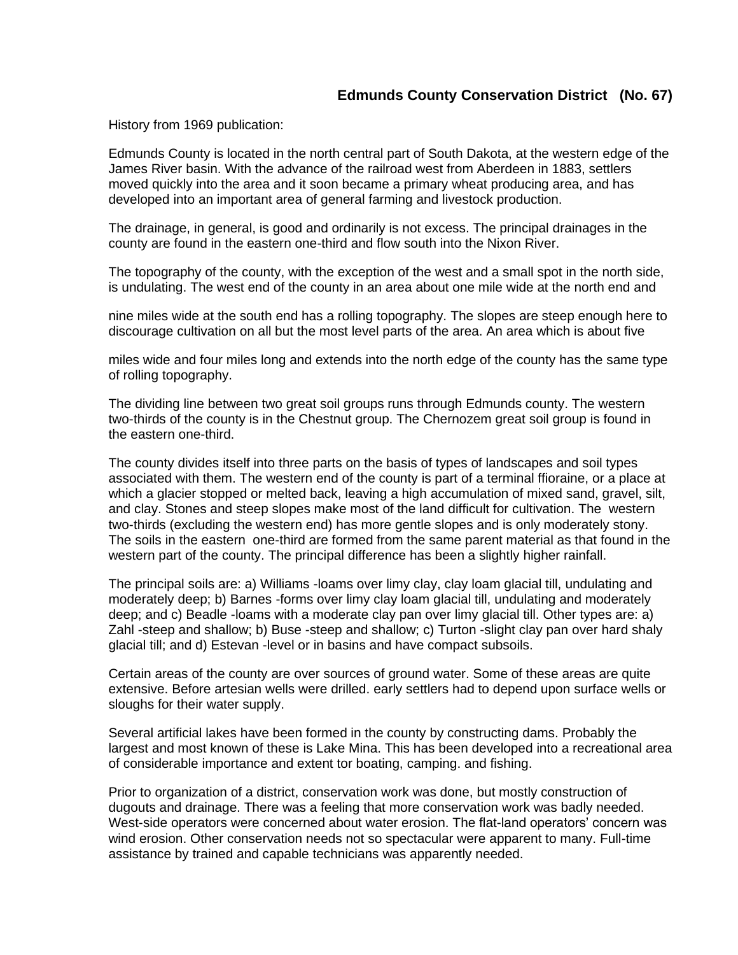## **Edmunds County Conservation District (No. 67)**

History from 1969 publication:

Edmunds County is located in the north central part of South Dakota, at the western edge of the James River basin. With the advance of the railroad west from Aberdeen in 1883, settlers moved quickly into the area and it soon became a primary wheat producing area, and has developed into an important area of general farming and livestock production.

The drainage, in general, is good and ordinarily is not excess. The principal drainages in the county are found in the eastern one-third and flow south into the Nixon River.

The topography of the county, with the exception of the west and a small spot in the north side, is undulating. The west end of the county in an area about one mile wide at the north end and

nine miles wide at the south end has a rolling topography. The slopes are steep enough here to discourage cultivation on all but the most level parts of the area. An area which is about five

miles wide and four miles long and extends into the north edge of the county has the same type of rolling topography.

The dividing line between two great soil groups runs through Edmunds county. The western two-thirds of the county is in the Chestnut group. The Chernozem great soil group is found in the eastern one-third.

The county divides itself into three parts on the basis of types of landscapes and soil types associated with them. The western end of the county is part of a terminal ffioraine, or a place at which a glacier stopped or melted back, leaving a high accumulation of mixed sand, gravel, silt, and clay. Stones and steep slopes make most of the land difficult for cultivation. The western two-thirds (excluding the western end) has more gentle slopes and is only moderately stony. The soils in the eastern one-third are formed from the same parent material as that found in the western part of the county. The principal difference has been a slightly higher rainfall.

The principal soils are: a) Williams -loams over limy clay, clay loam glacial till, undulating and moderately deep; b) Barnes -forms over limy clay loam glacial till, undulating and moderately deep; and c) Beadle -loams with a moderate clay pan over limy glacial till. Other types are: a) Zahl -steep and shallow; b) Buse -steep and shallow; c) Turton -slight clay pan over hard shaly glacial till; and d) Estevan -level or in basins and have compact subsoils.

Certain areas of the county are over sources of ground water. Some of these areas are quite extensive. Before artesian wells were drilled. early settlers had to depend upon surface wells or sloughs for their water supply.

Several artificial lakes have been formed in the county by constructing dams. Probably the largest and most known of these is Lake Mina. This has been developed into a recreational area of considerable importance and extent tor boating, camping. and fishing.

Prior to organization of a district, conservation work was done, but mostly construction of dugouts and drainage. There was a feeling that more conservation work was badly needed. West-side operators were concerned about water erosion. The flat-land operators' concern was wind erosion. Other conservation needs not so spectacular were apparent to many. Full-time assistance by trained and capable technicians was apparently needed.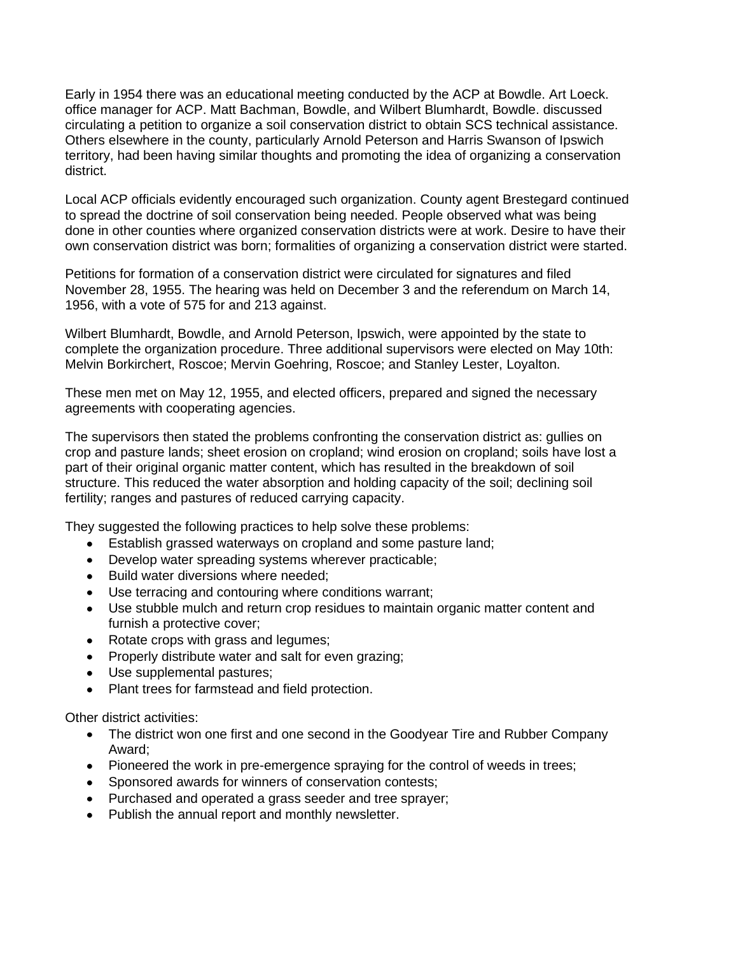Early in 1954 there was an educational meeting conducted by the ACP at Bowdle. Art Loeck. office manager for ACP. Matt Bachman, Bowdle, and Wilbert Blumhardt, Bowdle. discussed circulating a petition to organize a soil conservation district to obtain SCS technical assistance. Others elsewhere in the county, particularly Arnold Peterson and Harris Swanson of Ipswich territory, had been having similar thoughts and promoting the idea of organizing a conservation district.

Local ACP officials evidently encouraged such organization. County agent Brestegard continued to spread the doctrine of soil conservation being needed. People observed what was being done in other counties where organized conservation districts were at work. Desire to have their own conservation district was born; formalities of organizing a conservation district were started.

Petitions for formation of a conservation district were circulated for signatures and filed November 28, 1955. The hearing was held on December 3 and the referendum on March 14, 1956, with a vote of 575 for and 213 against.

Wilbert Blumhardt, Bowdle, and Arnold Peterson, Ipswich, were appointed by the state to complete the organization procedure. Three additional supervisors were elected on May 10th: Melvin Borkirchert, Roscoe; Mervin Goehring, Roscoe; and Stanley Lester, Loyalton.

These men met on May 12, 1955, and elected officers, prepared and signed the necessary agreements with cooperating agencies.

The supervisors then stated the problems confronting the conservation district as: gullies on crop and pasture lands; sheet erosion on cropland; wind erosion on cropland; soils have lost a part of their original organic matter content, which has resulted in the breakdown of soil structure. This reduced the water absorption and holding capacity of the soil; declining soil fertility; ranges and pastures of reduced carrying capacity.

They suggested the following practices to help solve these problems:

- Establish grassed waterways on cropland and some pasture land;
- Develop water spreading systems wherever practicable;
- Build water diversions where needed;
- Use terracing and contouring where conditions warrant;
- Use stubble mulch and return crop residues to maintain organic matter content and furnish a protective cover;
- Rotate crops with grass and legumes;
- Properly distribute water and salt for even grazing;
- Use supplemental pastures;
- Plant trees for farmstead and field protection.

Other district activities:

- The district won one first and one second in the Goodyear Tire and Rubber Company  $\bullet$ Award;
- Pioneered the work in pre-emergence spraying for the control of weeds in trees;
- Sponsored awards for winners of conservation contests;
- Purchased and operated a grass seeder and tree sprayer;
- Publish the annual report and monthly newsletter.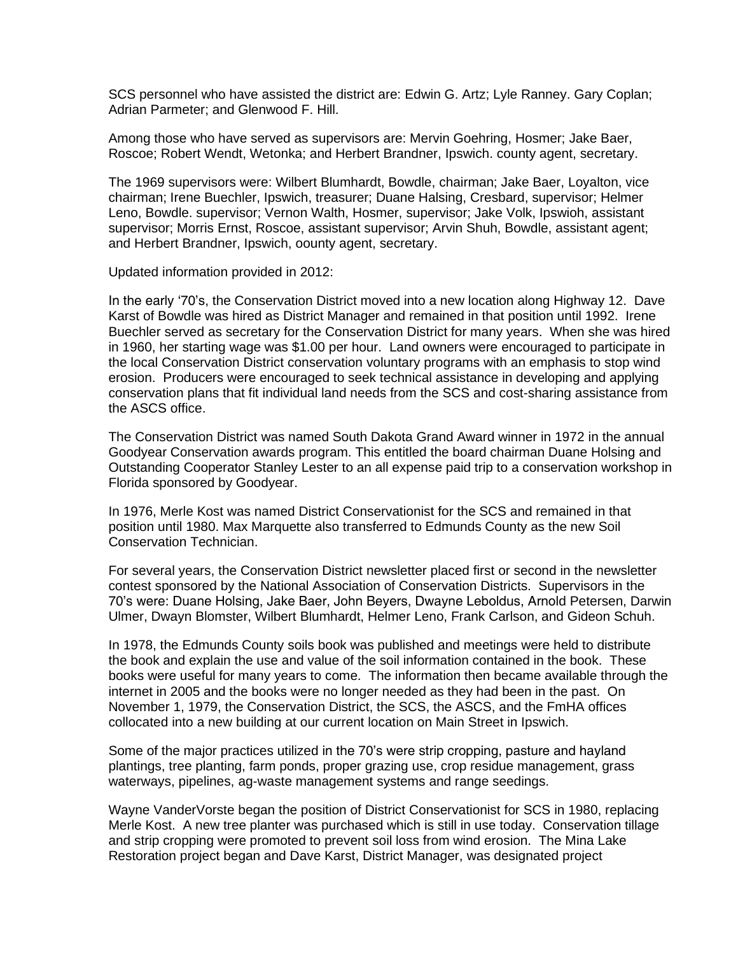SCS personnel who have assisted the district are: Edwin G. Artz; Lyle Ranney. Gary Coplan; Adrian Parmeter; and Glenwood F. Hill.

Among those who have served as supervisors are: Mervin Goehring, Hosmer; Jake Baer, Roscoe; Robert Wendt, Wetonka; and Herbert Brandner, Ipswich. county agent, secretary.

The 1969 supervisors were: Wilbert Blumhardt, Bowdle, chairman; Jake Baer, Loyalton, vice chairman; Irene Buechler, Ipswich, treasurer; Duane Halsing, Cresbard, supervisor; Helmer Leno, Bowdle. supervisor; Vernon Walth, Hosmer, supervisor; Jake Volk, Ipswioh, assistant supervisor; Morris Ernst, Roscoe, assistant supervisor; Arvin Shuh, Bowdle, assistant agent; and Herbert Brandner, Ipswich, oounty agent, secretary.

Updated information provided in 2012:

In the early '70's, the Conservation District moved into a new location along Highway 12. Dave Karst of Bowdle was hired as District Manager and remained in that position until 1992. Irene Buechler served as secretary for the Conservation District for many years. When she was hired in 1960, her starting wage was \$1.00 per hour. Land owners were encouraged to participate in the local Conservation District conservation voluntary programs with an emphasis to stop wind erosion. Producers were encouraged to seek technical assistance in developing and applying conservation plans that fit individual land needs from the SCS and cost-sharing assistance from the ASCS office.

The Conservation District was named South Dakota Grand Award winner in 1972 in the annual Goodyear Conservation awards program. This entitled the board chairman Duane Holsing and Outstanding Cooperator Stanley Lester to an all expense paid trip to a conservation workshop in Florida sponsored by Goodyear.

In 1976, Merle Kost was named District Conservationist for the SCS and remained in that position until 1980. Max Marquette also transferred to Edmunds County as the new Soil Conservation Technician.

For several years, the Conservation District newsletter placed first or second in the newsletter contest sponsored by the National Association of Conservation Districts. Supervisors in the 70's were: Duane Holsing, Jake Baer, John Beyers, Dwayne Leboldus, Arnold Petersen, Darwin Ulmer, Dwayn Blomster, Wilbert Blumhardt, Helmer Leno, Frank Carlson, and Gideon Schuh.

In 1978, the Edmunds County soils book was published and meetings were held to distribute the book and explain the use and value of the soil information contained in the book. These books were useful for many years to come. The information then became available through the internet in 2005 and the books were no longer needed as they had been in the past. On November 1, 1979, the Conservation District, the SCS, the ASCS, and the FmHA offices collocated into a new building at our current location on Main Street in Ipswich.

Some of the major practices utilized in the 70's were strip cropping, pasture and hayland plantings, tree planting, farm ponds, proper grazing use, crop residue management, grass waterways, pipelines, ag-waste management systems and range seedings.

Wayne VanderVorste began the position of District Conservationist for SCS in 1980, replacing Merle Kost. A new tree planter was purchased which is still in use today. Conservation tillage and strip cropping were promoted to prevent soil loss from wind erosion. The Mina Lake Restoration project began and Dave Karst, District Manager, was designated project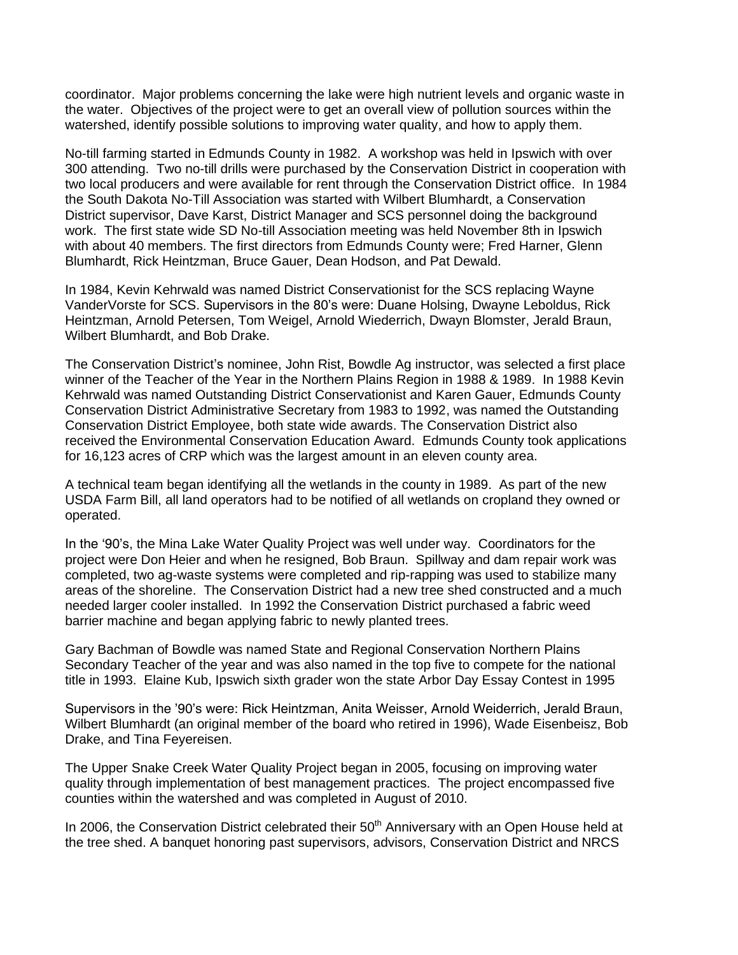coordinator. Major problems concerning the lake were high nutrient levels and organic waste in the water. Objectives of the project were to get an overall view of pollution sources within the watershed, identify possible solutions to improving water quality, and how to apply them.

No-till farming started in Edmunds County in 1982. A workshop was held in Ipswich with over 300 attending. Two no-till drills were purchased by the Conservation District in cooperation with two local producers and were available for rent through the Conservation District office. In 1984 the South Dakota No-Till Association was started with Wilbert Blumhardt, a Conservation District supervisor, Dave Karst, District Manager and SCS personnel doing the background work. The first state wide SD No-till Association meeting was held November 8th in Ipswich with about 40 members. The first directors from Edmunds County were; Fred Harner, Glenn Blumhardt, Rick Heintzman, Bruce Gauer, Dean Hodson, and Pat Dewald.

In 1984, Kevin Kehrwald was named District Conservationist for the SCS replacing Wayne VanderVorste for SCS. Supervisors in the 80's were: Duane Holsing, Dwayne Leboldus, Rick Heintzman, Arnold Petersen, Tom Weigel, Arnold Wiederrich, Dwayn Blomster, Jerald Braun, Wilbert Blumhardt, and Bob Drake.

The Conservation District's nominee, John Rist, Bowdle Ag instructor, was selected a first place winner of the Teacher of the Year in the Northern Plains Region in 1988 & 1989. In 1988 Kevin Kehrwald was named Outstanding District Conservationist and Karen Gauer, Edmunds County Conservation District Administrative Secretary from 1983 to 1992, was named the Outstanding Conservation District Employee, both state wide awards. The Conservation District also received the Environmental Conservation Education Award. Edmunds County took applications for 16,123 acres of CRP which was the largest amount in an eleven county area.

A technical team began identifying all the wetlands in the county in 1989. As part of the new USDA Farm Bill, all land operators had to be notified of all wetlands on cropland they owned or operated.

In the '90's, the Mina Lake Water Quality Project was well under way. Coordinators for the project were Don Heier and when he resigned, Bob Braun. Spillway and dam repair work was completed, two ag-waste systems were completed and rip-rapping was used to stabilize many areas of the shoreline. The Conservation District had a new tree shed constructed and a much needed larger cooler installed. In 1992 the Conservation District purchased a fabric weed barrier machine and began applying fabric to newly planted trees.

Gary Bachman of Bowdle was named State and Regional Conservation Northern Plains Secondary Teacher of the year and was also named in the top five to compete for the national title in 1993. Elaine Kub, Ipswich sixth grader won the state Arbor Day Essay Contest in 1995

Supervisors in the '90's were: Rick Heintzman, Anita Weisser, Arnold Weiderrich, Jerald Braun, Wilbert Blumhardt (an original member of the board who retired in 1996), Wade Eisenbeisz, Bob Drake, and Tina Feyereisen.

The Upper Snake Creek Water Quality Project began in 2005, focusing on improving water quality through implementation of best management practices. The project encompassed five counties within the watershed and was completed in August of 2010.

In 2006, the Conservation District celebrated their 50<sup>th</sup> Anniversary with an Open House held at the tree shed. A banquet honoring past supervisors, advisors, Conservation District and NRCS